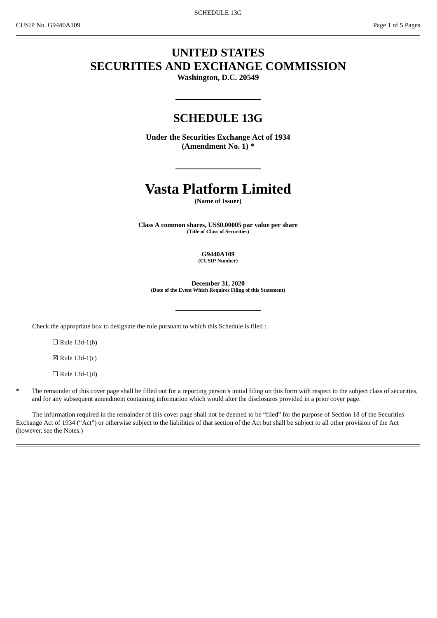# **UNITED STATES SECURITIES AND EXCHANGE COMMISSION**

**Washington, D.C. 20549**

# **SCHEDULE 13G**

**Under the Securities Exchange Act of 1934 (Amendment No. 1) \***

# **Vasta Platform Limited**

**(Name of Issuer)**

**Class A common shares, US\$0.00005 par value per share (Title of Class of Securities)**

> **G9440A109 (CUSIP Number)**

**December 31, 2020 (Date of the Event Which Requires Filing of this Statement)**

Check the appropriate box to designate the rule pursuant to which this Schedule is filed :

 $\Box$  Rule 13d-1(b)

☒ Rule 13d-1(c)

 $\Box$  Rule 13d-1(d)

The remainder of this cover page shall be filled out for a reporting person's initial filing on this form with respect to the subject class of securities, and for any subsequent amendment containing information which would alter the disclosures provided in a prior cover page.

The information required in the remainder of this cover page shall not be deemed to be "filed" for the purpose of Section 18 of the Securities Exchange Act of 1934 ("Act") or otherwise subject to the liabilities of that section of the Act but shall be subject to all other provision of the Act (however, see the Notes.)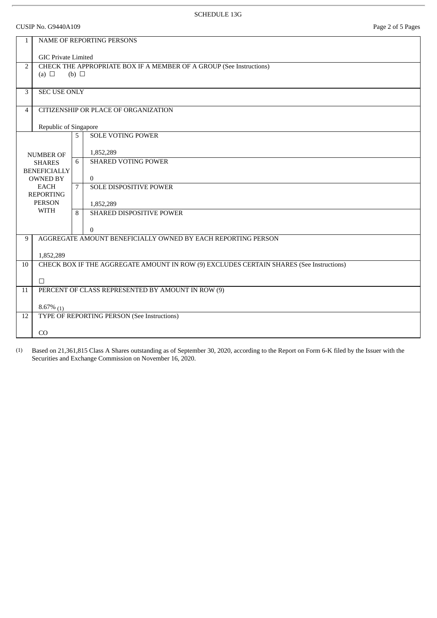CUSIP No. G9440A109 Page 2 of 5 Pages

| 1                                      | <b>NAME OF REPORTING PERSONS</b>                                                        |                |                               |  |  |  |  |
|----------------------------------------|-----------------------------------------------------------------------------------------|----------------|-------------------------------|--|--|--|--|
|                                        | <b>GIC Private Limited</b>                                                              |                |                               |  |  |  |  |
| $\overline{2}$                         | CHECK THE APPROPRIATE BOX IF A MEMBER OF A GROUP (See Instructions)                     |                |                               |  |  |  |  |
|                                        | (a) $\Box$                                                                              | (b) $\Box$     |                               |  |  |  |  |
| 3                                      | SEC USE ONLY                                                                            |                |                               |  |  |  |  |
| 4                                      | CITIZENSHIP OR PLACE OF ORGANIZATION                                                    |                |                               |  |  |  |  |
|                                        |                                                                                         |                |                               |  |  |  |  |
|                                        | Republic of Singapore                                                                   |                |                               |  |  |  |  |
|                                        |                                                                                         | 5              | <b>SOLE VOTING POWER</b>      |  |  |  |  |
|                                        | <b>NUMBER OF</b>                                                                        |                | 1,852,289                     |  |  |  |  |
|                                        | <b>SHARES</b>                                                                           | 6              | <b>SHARED VOTING POWER</b>    |  |  |  |  |
| <b>BENEFICIALLY</b><br><b>OWNED BY</b> |                                                                                         |                | $\mathbf{0}$                  |  |  |  |  |
| <b>EACH</b>                            |                                                                                         | $\overline{7}$ | <b>SOLE DISPOSITIVE POWER</b> |  |  |  |  |
|                                        | <b>REPORTING</b><br><b>PERSON</b>                                                       |                | 1,852,289                     |  |  |  |  |
|                                        | <b>WITH</b>                                                                             | 8              | SHARED DISPOSITIVE POWER      |  |  |  |  |
|                                        |                                                                                         |                | $\Omega$                      |  |  |  |  |
| 9                                      | AGGREGATE AMOUNT BENEFICIALLY OWNED BY EACH REPORTING PERSON                            |                |                               |  |  |  |  |
|                                        | 1,852,289                                                                               |                |                               |  |  |  |  |
| 10                                     | CHECK BOX IF THE AGGREGATE AMOUNT IN ROW (9) EXCLUDES CERTAIN SHARES (See Instructions) |                |                               |  |  |  |  |
|                                        |                                                                                         |                |                               |  |  |  |  |
| 11                                     | П<br>PERCENT OF CLASS REPRESENTED BY AMOUNT IN ROW (9)                                  |                |                               |  |  |  |  |
|                                        |                                                                                         |                |                               |  |  |  |  |
| 12                                     | $8.67\%$ (1)<br>TYPE OF REPORTING PERSON (See Instructions)                             |                |                               |  |  |  |  |
|                                        |                                                                                         |                |                               |  |  |  |  |
|                                        | CO                                                                                      |                |                               |  |  |  |  |

(1) Based on 21,361,815 Class A Shares outstanding as of September 30, 2020, according to the Report on Form 6-K filed by the Issuer with the Securities and Exchange Commission on November 16, 2020.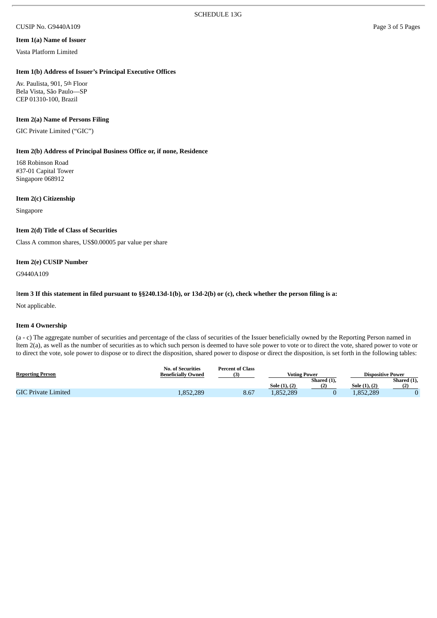#### CUSIP No. G9440A109 Page 3 of 5 Pages

#### **Item 1(a) Name of Issuer**

Vasta Platform Limited

#### **Item 1(b) Address of Issuer's Principal Executive Offices**

Av. Paulista, 901, 5th Floor Bela Vista, São Paulo—SP CEP 01310-100, Brazil

#### **Item 2(a) Name of Persons Filing**

GIC Private Limited ("GIC")

### **Item 2(b) Address of Principal Business Office or, if none, Residence**

168 Robinson Road #37-01 Capital Tower Singapore 068912

#### **Item 2(c) Citizenship**

Singapore

#### **Item 2(d) Title of Class of Securities**

Class A common shares, US\$0.00005 par value per share

### **Item 2(e) CUSIP Number**

G9440A109

#### Item 3 If this statement in filed pursuant to §§240.13d-1(b), or 13d-2(b) or (c), check whether the person filing is a:

Not applicable.

#### **Item 4 Ownership**

(a - c) The aggregate number of securities and percentage of the class of securities of the Issuer beneficially owned by the Reporting Person named in Item 2(a), as well as the number of securities as to which such person is deemed to have sole power to vote or to direct the vote, shared power to vote or to direct the vote, sole power to dispose or to direct the disposition, shared power to dispose or direct the disposition, is set forth in the following tables:

| <b>Reporting Person</b>    | No. of Securities<br><b>Beneficially Owned</b> | <b>Percent of Class</b> | <b>Voting Power</b> |             | <b>Dispositive Power</b> |             |
|----------------------------|------------------------------------------------|-------------------------|---------------------|-------------|--------------------------|-------------|
|                            |                                                |                         |                     | Shared (1), |                          | Shared (1), |
|                            |                                                |                         | Sole (1), (2)       | つ           | Sole (1), (2)            |             |
| <b>GIC Private Limited</b> | 1,852,289                                      | 8.67                    | 1,852,289           |             | 1,852,289                |             |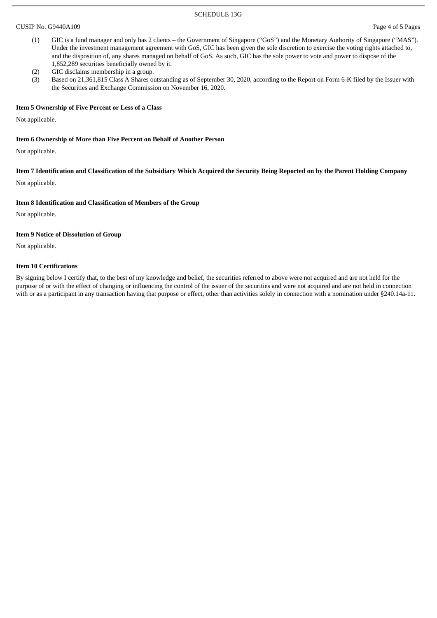#### SCHEDULE 13G

#### CUSIP No. G9440A109 Page 4 of 5 Pages

- (1) GIC is a fund manager and only has 2 clients the Government of Singapore ("GoS") and the Monetary Authority of Singapore ("MAS"). Under the investment management agreement with GoS, GIC has been given the sole discretion to exercise the voting rights attached to, and the disposition of, any shares managed on behalf of GoS. As such, GIC has the sole power to vote and power to dispose of the 1,852,289 securities beneficially owned by it.
- (2) GIC disclaims membership in a group.
- (3) Based on 21,361,815 Class A Shares outstanding as of September 30, 2020, according to the Report on Form 6-K filed by the Issuer with the Securities and Exchange Commission on November 16, 2020.

#### **Item 5 Ownership of Five Percent or Less of a Class**

Not applicable.

#### **Item 6 Ownership of More than Five Percent on Behalf of Another Person**

Not applicable.

Item 7 Identification and Classification of the Subsidiary Which Acquired the Security Being Reported on by the Parent Holding Company

Not applicable.

#### **Item 8 Identification and Classification of Members of the Group**

Not applicable.

#### **Item 9 Notice of Dissolution of Group**

Not applicable.

#### **Item 10 Certifications**

By signing below I certify that, to the best of my knowledge and belief, the securities referred to above were not acquired and are not held for the purpose of or with the effect of changing or influencing the control of the issuer of the securities and were not acquired and are not held in connection with or as a participant in any transaction having that purpose or effect, other than activities solely in connection with a nomination under §240.14a-11.